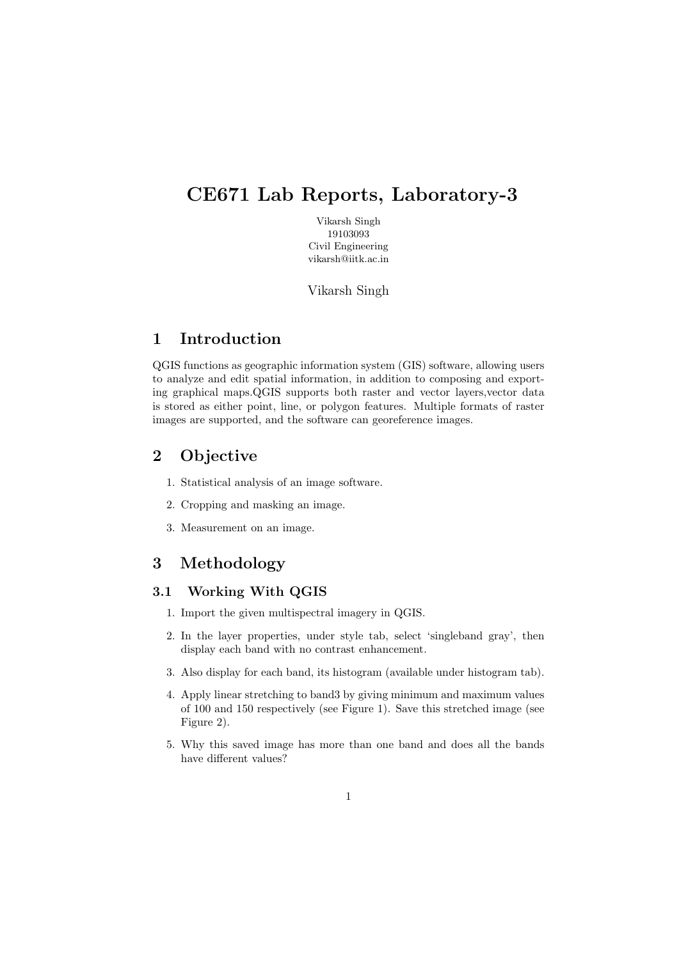# CE671 Lab Reports, Laboratory-3

Vikarsh Singh 19103093 Civil Engineering vikarsh@iitk.ac.in

Vikarsh Singh

## 1 Introduction

QGIS functions as geographic information system (GIS) software, allowing users to analyze and edit spatial information, in addition to composing and exporting graphical maps.QGIS supports both raster and vector layers,vector data is stored as either point, line, or polygon features. Multiple formats of raster images are supported, and the software can georeference images.

## 2 Objective

- 1. Statistical analysis of an image software.
- 2. Cropping and masking an image.
- 3. Measurement on an image.

#### 3 Methodology

#### 3.1 Working With QGIS

- 1. Import the given multispectral imagery in QGIS.
- 2. In the layer properties, under style tab, select 'singleband gray', then display each band with no contrast enhancement.
- 3. Also display for each band, its histogram (available under histogram tab).
- 4. Apply linear stretching to band3 by giving minimum and maximum values of 100 and 150 respectively (see Figure 1). Save this stretched image (see Figure 2).
- 5. Why this saved image has more than one band and does all the bands have different values?